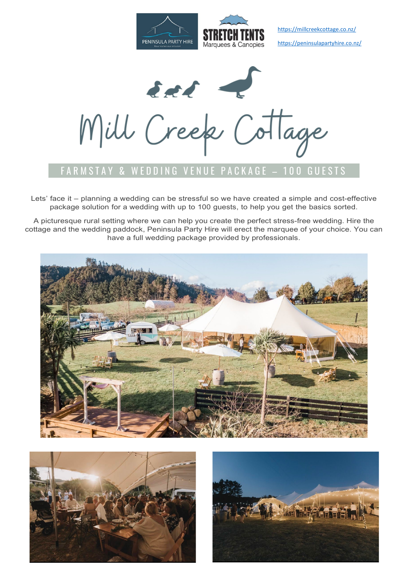

 <https://millcreekcottage.co.nz/> <https://peninsulapartyhire.co.nz/>

East & Cottage

## ARMSTAY & WEDDING VENUE PACKAGE - 100 GUESTS

Lets' face it – planning a wedding can be stressful so we have created a simple and cost-effective package solution for a wedding with up to 100 guests, to help you get the basics sorted.

A picturesque rural setting where we can help you create the perfect stress-free wedding. Hire the cottage and the wedding paddock, Peninsula Party Hire will erect the marquee of your choice. You can have a full wedding package provided by professionals.